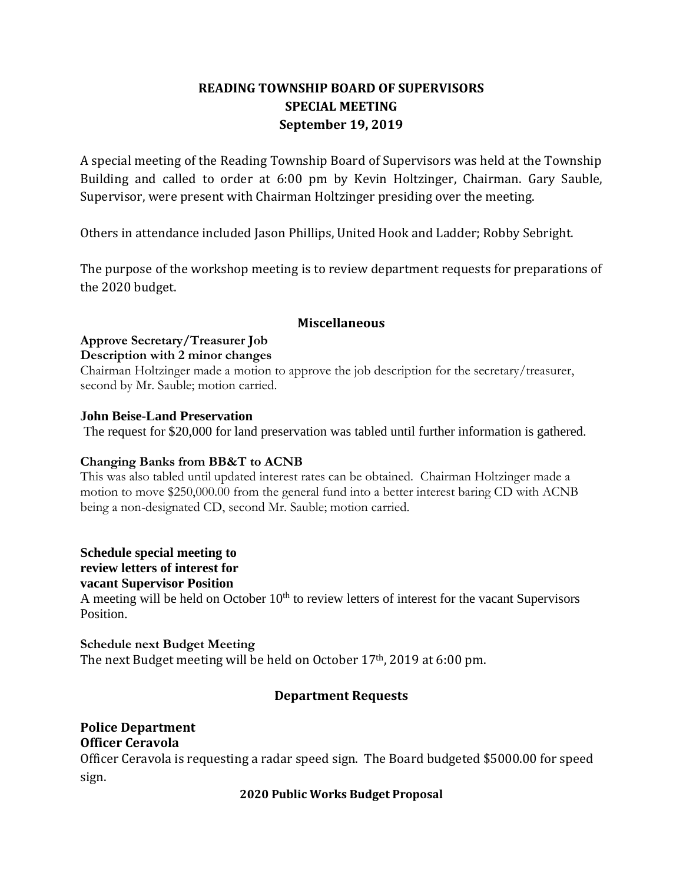# **READING TOWNSHIP BOARD OF SUPERVISORS SPECIAL MEETING September 19, 2019**

A special meeting of the Reading Township Board of Supervisors was held at the Township Building and called to order at 6:00 pm by Kevin Holtzinger, Chairman. Gary Sauble, Supervisor, were present with Chairman Holtzinger presiding over the meeting.

Others in attendance included Jason Phillips, United Hook and Ladder; Robby Sebright.

The purpose of the workshop meeting is to review department requests for preparations of the 2020 budget.

### **Miscellaneous**

## **Approve Secretary/Treasurer Job**

### **Description with 2 minor changes**

Chairman Holtzinger made a motion to approve the job description for the secretary/treasurer, second by Mr. Sauble; motion carried.

### **John Beise-Land Preservation**

The request for \$20,000 for land preservation was tabled until further information is gathered.

## **Changing Banks from BB&T to ACNB**

This was also tabled until updated interest rates can be obtained. Chairman Holtzinger made a motion to move \$250,000.00 from the general fund into a better interest baring CD with ACNB being a non-designated CD, second Mr. Sauble; motion carried.

**Schedule special meeting to**

# **review letters of interest for**

**vacant Supervisor Position**

A meeting will be held on October  $10<sup>th</sup>$  to review letters of interest for the vacant Supervisors Position.

**Schedule next Budget Meeting** The next Budget meeting will be held on October 17th, 2019 at 6:00 pm.

# **Department Requests**

#### **Police Department Officer Ceravola**

Officer Ceravola is requesting a radar speed sign. The Board budgeted \$5000.00 for speed sign.

## **2020 Public Works Budget Proposal**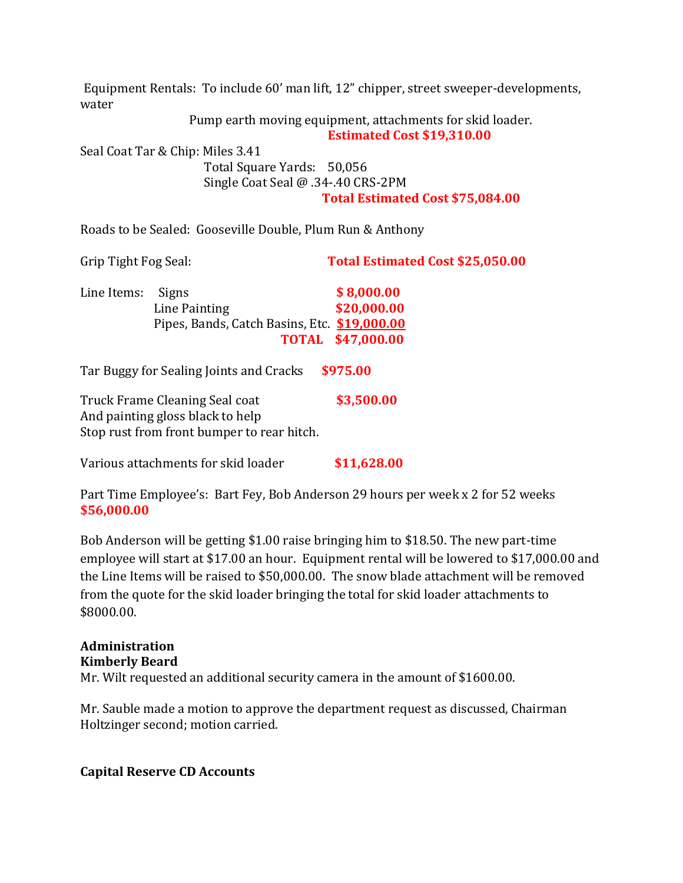Equipment Rentals: To include 60' man lift, 12" chipper, street sweeper-developments, water

Pump earth moving equipment, attachments for skid loader.

 **Estimated Cost \$19,310.00**

Seal Coat Tar & Chip: Miles 3.41 Total Square Yards: 50,056 Single Coat Seal @ .34-.40 CRS-2PM **Total Estimated Cost \$75,084.00**

Roads to be Sealed: Gooseville Double, Plum Run & Anthony

Grip Tight Fog Seal: **Total Estimated Cost \$25,050.00**

| Line Items: Signs |                                              | \$8,000.00               |
|-------------------|----------------------------------------------|--------------------------|
|                   | Line Painting                                | \$20,000.00              |
|                   | Pipes, Bands, Catch Basins, Etc. \$19,000.00 |                          |
|                   |                                              | <b>TOTAL \$47,000.00</b> |

Tar Buggy for Sealing Joints and Cracks **\$975.00**

Truck Frame Cleaning Seal coat **\$3,500.00** And painting gloss black to help Stop rust from front bumper to rear hitch.

Various attachments for skid loader **\$11,628.00**

Part Time Employee's: Bart Fey, Bob Anderson 29 hours per week x 2 for 52 weeks **\$56,000.00**

Bob Anderson will be getting \$1.00 raise bringing him to \$18.50. The new part-time employee will start at \$17.00 an hour. Equipment rental will be lowered to \$17,000.00 and the Line Items will be raised to \$50,000.00. The snow blade attachment will be removed from the quote for the skid loader bringing the total for skid loader attachments to \$8000.00.

# **Administration Kimberly Beard** Mr. Wilt requested an additional security camera in the amount of \$1600.00.

Mr. Sauble made a motion to approve the department request as discussed, Chairman Holtzinger second; motion carried.

# **Capital Reserve CD Accounts**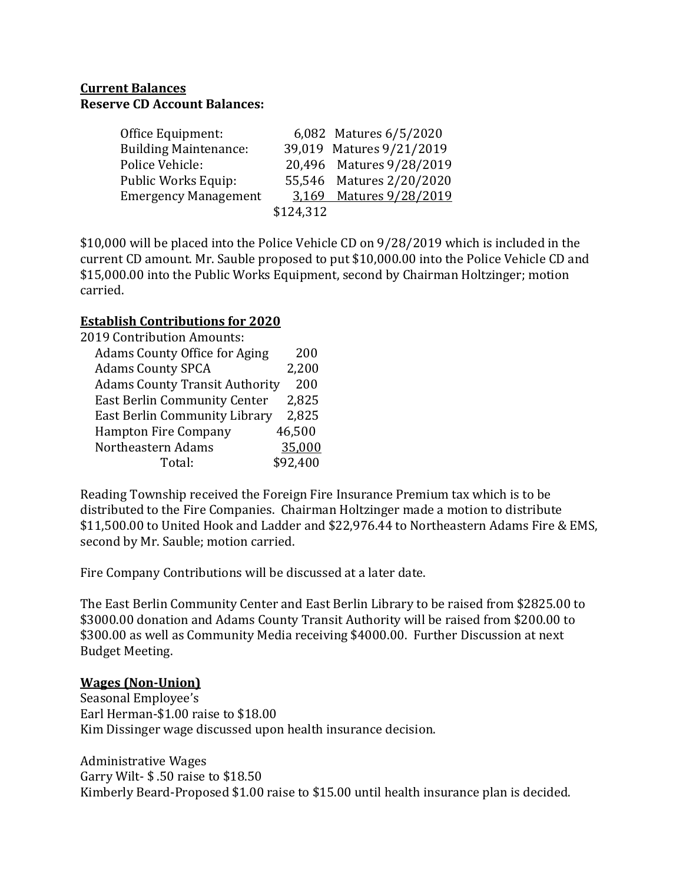# **Current Balances Reserve CD Account Balances:**

| Office Equipment:            |           | 6,082 Matures 6/5/2020   |
|------------------------------|-----------|--------------------------|
| <b>Building Maintenance:</b> |           | 39,019 Matures 9/21/2019 |
| Police Vehicle:              |           | 20,496 Matures 9/28/2019 |
| Public Works Equip:          |           | 55,546 Matures 2/20/2020 |
| <b>Emergency Management</b>  |           | 3,169 Matures 9/28/2019  |
|                              | \$124,312 |                          |

\$10,000 will be placed into the Police Vehicle CD on 9/28/2019 which is included in the current CD amount. Mr. Sauble proposed to put \$10,000.00 into the Police Vehicle CD and \$15,000.00 into the Public Works Equipment, second by Chairman Holtzinger; motion carried.

# **Establish Contributions for 2020**

| <b>2019 Contribution Amounts:</b>     |          |
|---------------------------------------|----------|
| <b>Adams County Office for Aging</b>  | 200      |
| <b>Adams County SPCA</b>              | 2,200    |
| <b>Adams County Transit Authority</b> | 200      |
| <b>East Berlin Community Center</b>   | 2,825    |
| East Berlin Community Library         | 2,825    |
| <b>Hampton Fire Company</b>           | 46,500   |
| Northeastern Adams                    | 35,000   |
| Total:                                | \$92,400 |

Reading Township received the Foreign Fire Insurance Premium tax which is to be distributed to the Fire Companies. Chairman Holtzinger made a motion to distribute \$11,500.00 to United Hook and Ladder and \$22,976.44 to Northeastern Adams Fire & EMS, second by Mr. Sauble; motion carried.

Fire Company Contributions will be discussed at a later date.

The East Berlin Community Center and East Berlin Library to be raised from \$2825.00 to \$3000.00 donation and Adams County Transit Authority will be raised from \$200.00 to \$300.00 as well as Community Media receiving \$4000.00. Further Discussion at next Budget Meeting.

# **Wages (Non-Union)**

Seasonal Employee's Earl Herman-\$1.00 raise to \$18.00 Kim Dissinger wage discussed upon health insurance decision.

Administrative Wages Garry Wilt- \$ .50 raise to \$18.50 Kimberly Beard-Proposed \$1.00 raise to \$15.00 until health insurance plan is decided.